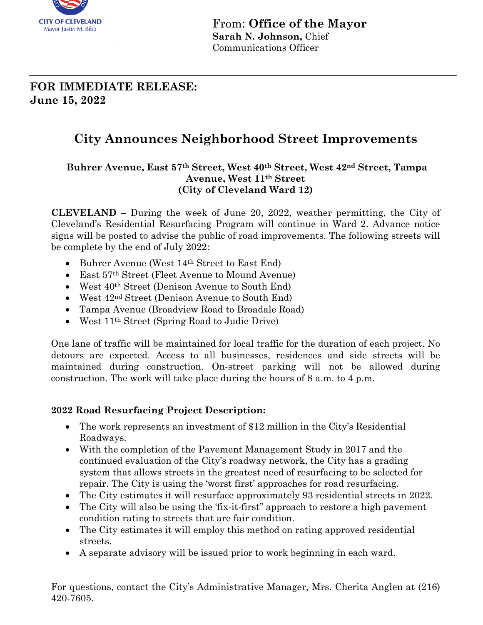

From: **Office of the Mayor Sarah N. Johnson,** Chief Communications Officer

# **FOR IMMEDIATE RELEASE: June 15, 2022**

# **City Announces Neighborhood Street Improvements**

#### **Buhrer Avenue, East 57th Street, West 40th Street, West 42nd Street, Tampa Avenue, West 11th Street (City of Cleveland Ward 12)**

**CLEVELAND –** During the week of June 20, 2022, weather permitting, the City of Cleveland's Residential Resurfacing Program will continue in Ward 2. Advance notice signs will be posted to advise the public of road improvements. The following streets will be complete by the end of July 2022:

- Buhrer Avenue (West 14<sup>th</sup> Street to East End)
- East 57th Street (Fleet Avenue to Mound Avenue)
- West  $40<sup>th</sup> Street (Denison Avenue to South End)$
- West  $42<sup>nd</sup> Street (Denison Avenue to South End)$
- Tampa Avenue (Broadview Road to Broadale Road)
- West 11th Street (Spring Road to Judie Drive)

One lane of traffic will be maintained for local traffic for the duration of each project. No detours are expected. Access to all businesses, residences and side streets will be maintained during construction. On-street parking will not be allowed during construction. The work will take place during the hours of 8 a.m. to 4 p.m.

### **2022 Road Resurfacing Project Description:**

- The work represents an investment of \$12 million in the City's Residential Roadways.
- With the completion of the Pavement Management Study in 2017 and the continued evaluation of the City's roadway network, the City has a grading system that allows streets in the greatest need of resurfacing to be selected for repair. The City is using the 'worst first' approaches for road resurfacing.
- The City estimates it will resurface approximately 93 residential streets in 2022.
- The City will also be using the 'fix-it-first' approach to restore a high pavement condition rating to streets that are fair condition.
- The City estimates it will employ this method on rating approved residential streets.
- A separate advisory will be issued prior to work beginning in each ward.

For questions, contact the City's Administrative Manager, Mrs. Cherita Anglen at (216) 420-7605.